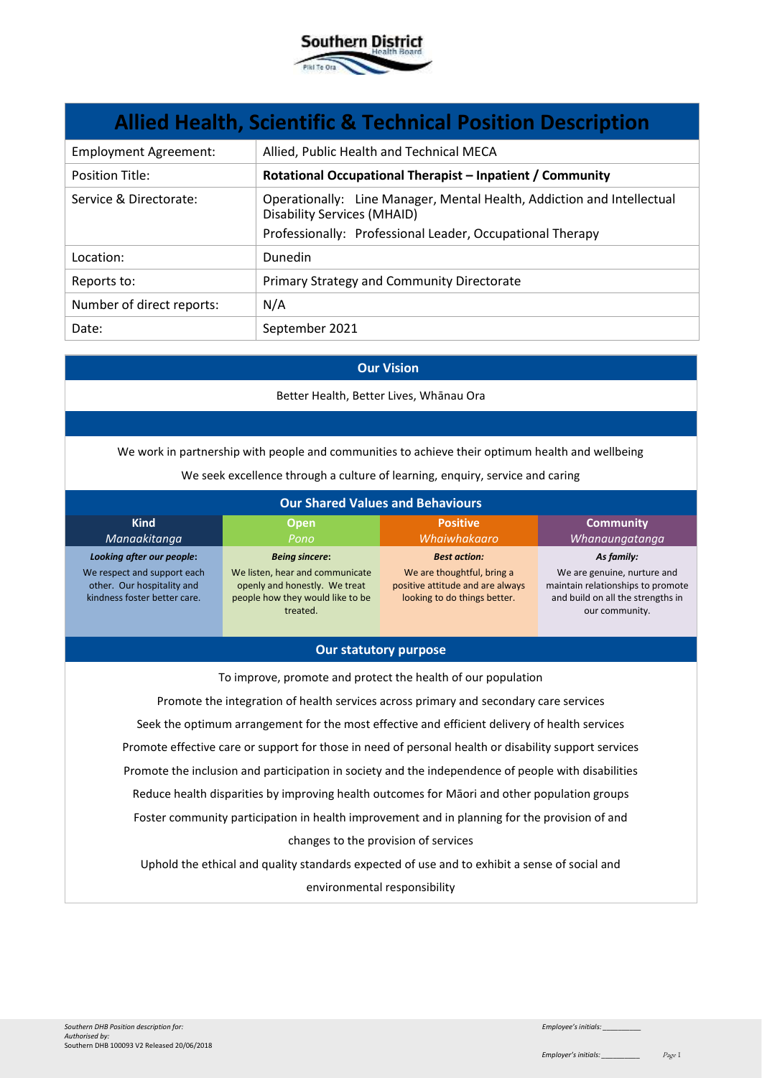

| <b>Allied Health, Scientific &amp; Technical Position Description</b> |                                                                                                                                                                           |  |
|-----------------------------------------------------------------------|---------------------------------------------------------------------------------------------------------------------------------------------------------------------------|--|
| <b>Employment Agreement:</b>                                          | Allied, Public Health and Technical MECA                                                                                                                                  |  |
| <b>Position Title:</b>                                                | Rotational Occupational Therapist - Inpatient / Community                                                                                                                 |  |
| Service & Directorate:                                                | Operationally: Line Manager, Mental Health, Addiction and Intellectual<br><b>Disability Services (MHAID)</b><br>Professionally: Professional Leader, Occupational Therapy |  |
| Location:                                                             | <b>Dunedin</b>                                                                                                                                                            |  |
| Reports to:                                                           | Primary Strategy and Community Directorate                                                                                                                                |  |
| Number of direct reports:                                             | N/A                                                                                                                                                                       |  |
| Date:                                                                 | September 2021                                                                                                                                                            |  |

#### **Our Vision**

Better Health, Better Lives, Whānau Ora

We work in partnership with people and communities to achieve their optimum health and wellbeing

We seek excellence through a culture of learning, enquiry, service and caring

| <b>Our Shared Values and Behaviours</b>                                                                                |                                                                                                                                           |                                                                                                                       |                                                                                                                                       |
|------------------------------------------------------------------------------------------------------------------------|-------------------------------------------------------------------------------------------------------------------------------------------|-----------------------------------------------------------------------------------------------------------------------|---------------------------------------------------------------------------------------------------------------------------------------|
| <b>Kind</b><br>Manaakitanga                                                                                            | <b>Open</b><br>Pono                                                                                                                       | <b>Positive</b><br>Whaiwhakaaro                                                                                       | <b>Community</b><br>Whanaungatanga                                                                                                    |
| Looking after our people:<br>We respect and support each<br>other. Our hospitality and<br>kindness foster better care. | <b>Being sincere:</b><br>We listen, hear and communicate<br>openly and honestly. We treat<br>people how they would like to be<br>treated. | <b>Best action:</b><br>We are thoughtful, bring a<br>positive attitude and are always<br>looking to do things better. | As family:<br>We are genuine, nurture and<br>maintain relationships to promote<br>and build on all the strengths in<br>our community. |

## **Our statutory purpose**

To improve, promote and protect the health of our population

Promote the integration of health services across primary and secondary care services Seek the optimum arrangement for the most effective and efficient delivery of health services Promote effective care or support for those in need of personal health or disability support services Promote the inclusion and participation in society and the independence of people with disabilities Reduce health disparities by improving health outcomes for Māori and other population groups Foster community participation in health improvement and in planning for the provision of and changes to the provision of services

Uphold the ethical and quality standards expected of use and to exhibit a sense of social and environmental responsibility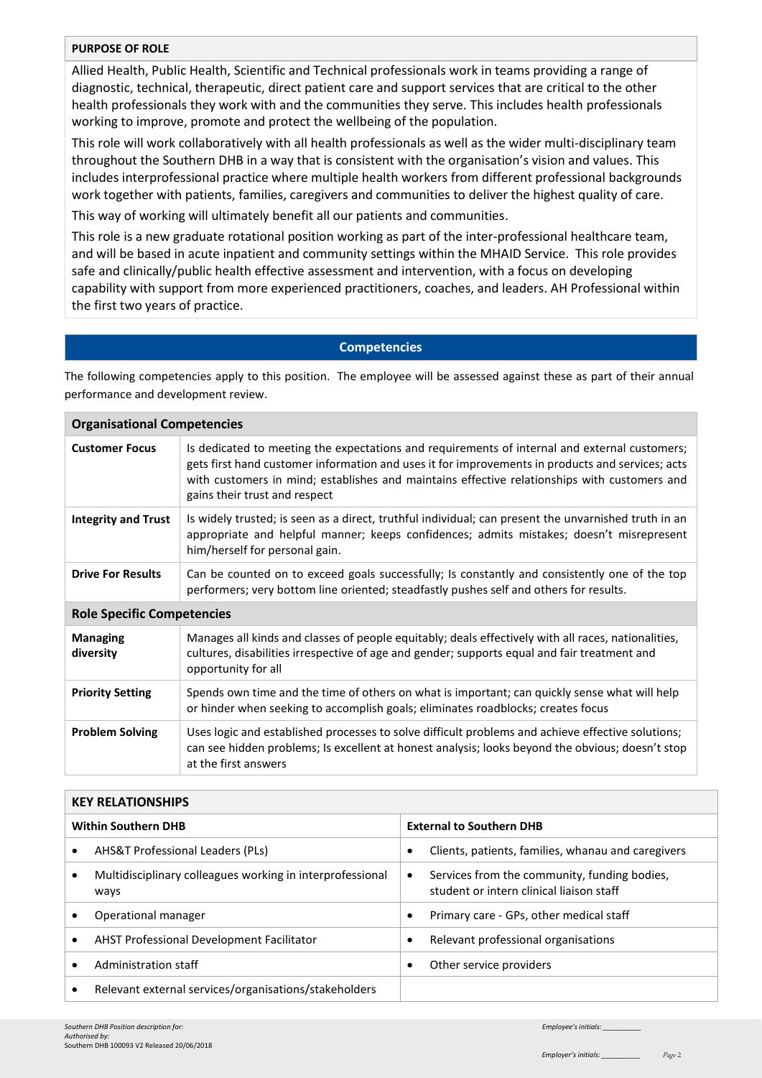# **PURPOSE OF ROLE**

Allied Health, Public Health, Scientific and Technical professionals work in teams providing a range of diagnostic, technical, therapeutic, direct patient care and support services that are critical to the other health professionals they work with and the communities they serve. This includes health professionals working to improve, promote and protect the wellbeing of the population.

This role will work collaboratively with all health professionals as well as the wider multi-disciplinary team throughout the Southern DHB in a way that is consistent with the organisation's vision and values. This includes interprofessional practice where multiple health workers from different professional backgrounds work together with patients, families, caregivers and communities to deliver the highest quality of care.

This way of working will ultimately benefit all our patients and communities.

This role is a new graduate rotational position working as part of the inter-professional healthcare team, and will be based in acute inpatient and community settings within the MHAID Service. This role provides safe and clinically/public health effective assessment and intervention, with a focus on developing capability with support from more experienced practitioners, coaches, and leaders. AH Professional within the first two years of practice.

# **Competencies**

The following competencies apply to this position. The employee will be assessed against these as part of their annual performance and development review.

| <b>Organisational Competencies</b> |                                                                                                                                                                                                                                                                                                                                    |  |
|------------------------------------|------------------------------------------------------------------------------------------------------------------------------------------------------------------------------------------------------------------------------------------------------------------------------------------------------------------------------------|--|
| <b>Customer Focus</b>              | Is dedicated to meeting the expectations and requirements of internal and external customers;<br>gets first hand customer information and uses it for improvements in products and services; acts<br>with customers in mind; establishes and maintains effective relationships with customers and<br>gains their trust and respect |  |
| <b>Integrity and Trust</b>         | Is widely trusted; is seen as a direct, truthful individual; can present the unvarnished truth in an<br>appropriate and helpful manner; keeps confidences; admits mistakes; doesn't misrepresent<br>him/herself for personal gain.                                                                                                 |  |
| <b>Drive For Results</b>           | Can be counted on to exceed goals successfully; Is constantly and consistently one of the top<br>performers; very bottom line oriented; steadfastly pushes self and others for results.                                                                                                                                            |  |
| <b>Role Specific Competencies</b>  |                                                                                                                                                                                                                                                                                                                                    |  |
| <b>Managing</b><br>diversity       | Manages all kinds and classes of people equitably; deals effectively with all races, nationalities,<br>cultures, disabilities irrespective of age and gender; supports equal and fair treatment and<br>opportunity for all                                                                                                         |  |
| <b>Priority Setting</b>            | Spends own time and the time of others on what is important; can quickly sense what will help<br>or hinder when seeking to accomplish goals; eliminates roadblocks; creates focus                                                                                                                                                  |  |
| <b>Problem Solving</b>             | Uses logic and established processes to solve difficult problems and achieve effective solutions;<br>can see hidden problems; Is excellent at honest analysis; looks beyond the obvious; doesn't stop<br>at the first answers                                                                                                      |  |

#### **KEY RELATIONSHIPS**

| <b>Within Southern DHB</b> |                                                                   | <b>External to Southern DHB</b>                                                                       |  |
|----------------------------|-------------------------------------------------------------------|-------------------------------------------------------------------------------------------------------|--|
|                            | AHS&T Professional Leaders (PLs)                                  | Clients, patients, families, whanau and caregivers<br>$\bullet$                                       |  |
|                            | Multidisciplinary colleagues working in interprofessional<br>ways | Services from the community, funding bodies,<br>$\bullet$<br>student or intern clinical liaison staff |  |
|                            | Operational manager                                               | Primary care - GPs, other medical staff<br>$\bullet$                                                  |  |
|                            | AHST Professional Development Facilitator                         | Relevant professional organisations<br>٠                                                              |  |
|                            | Administration staff                                              | Other service providers<br>٠                                                                          |  |
|                            | Relevant external services/organisations/stakeholders             |                                                                                                       |  |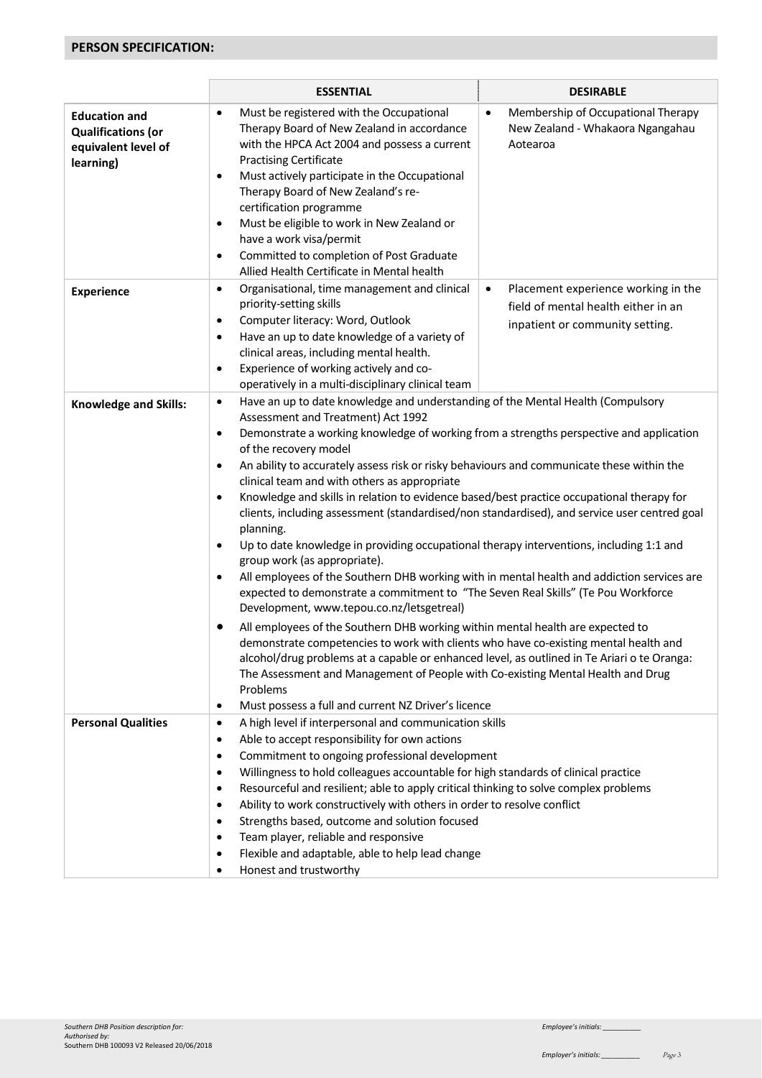# **PERSON SPECIFICATION:**

|                                                                                       | <b>ESSENTIAL</b>                                                                                                                                                                                                                                                                                                                                                                                                                                                                                                                                                                                                                                                                                               | <b>DESIRABLE</b>                                                                                                                                                                                                                                                                                                                                                                                                                                                                                                                                                                                                                                                                                                                                                                                                                                                                                                                                                                                                                                                                                               |  |
|---------------------------------------------------------------------------------------|----------------------------------------------------------------------------------------------------------------------------------------------------------------------------------------------------------------------------------------------------------------------------------------------------------------------------------------------------------------------------------------------------------------------------------------------------------------------------------------------------------------------------------------------------------------------------------------------------------------------------------------------------------------------------------------------------------------|----------------------------------------------------------------------------------------------------------------------------------------------------------------------------------------------------------------------------------------------------------------------------------------------------------------------------------------------------------------------------------------------------------------------------------------------------------------------------------------------------------------------------------------------------------------------------------------------------------------------------------------------------------------------------------------------------------------------------------------------------------------------------------------------------------------------------------------------------------------------------------------------------------------------------------------------------------------------------------------------------------------------------------------------------------------------------------------------------------------|--|
| <b>Education and</b><br><b>Qualifications (or</b><br>equivalent level of<br>learning) | Must be registered with the Occupational<br>$\bullet$<br>Therapy Board of New Zealand in accordance<br>with the HPCA Act 2004 and possess a current<br><b>Practising Certificate</b><br>Must actively participate in the Occupational<br>٠<br>Therapy Board of New Zealand's re-<br>certification programme<br>Must be eligible to work in New Zealand or<br>$\bullet$<br>have a work visa/permit<br>Committed to completion of Post Graduate<br>$\bullet$<br>Allied Health Certificate in Mental health                                                                                                                                                                                                       | Membership of Occupational Therapy<br>$\bullet$<br>New Zealand - Whakaora Ngangahau<br>Aotearoa                                                                                                                                                                                                                                                                                                                                                                                                                                                                                                                                                                                                                                                                                                                                                                                                                                                                                                                                                                                                                |  |
| <b>Experience</b>                                                                     | Organisational, time management and clinical<br>$\bullet$<br>priority-setting skills<br>Computer literacy: Word, Outlook<br>$\bullet$<br>Have an up to date knowledge of a variety of<br>$\bullet$<br>clinical areas, including mental health.<br>Experience of working actively and co-<br>$\bullet$<br>operatively in a multi-disciplinary clinical team                                                                                                                                                                                                                                                                                                                                                     | Placement experience working in the<br>$\bullet$<br>field of mental health either in an<br>inpatient or community setting.                                                                                                                                                                                                                                                                                                                                                                                                                                                                                                                                                                                                                                                                                                                                                                                                                                                                                                                                                                                     |  |
| <b>Knowledge and Skills:</b>                                                          | $\bullet$<br>Assessment and Treatment) Act 1992<br>$\bullet$<br>of the recovery model<br>$\bullet$<br>clinical team and with others as appropriate<br>$\bullet$<br>planning.<br>٠<br>group work (as appropriate).<br>$\bullet$<br>Development, www.tepou.co.nz/letsgetreal)<br>$\bullet$<br>Problems<br>Must possess a full and current NZ Driver's licence<br>$\bullet$                                                                                                                                                                                                                                                                                                                                       | Have an up to date knowledge and understanding of the Mental Health (Compulsory<br>Demonstrate a working knowledge of working from a strengths perspective and application<br>An ability to accurately assess risk or risky behaviours and communicate these within the<br>Knowledge and skills in relation to evidence based/best practice occupational therapy for<br>clients, including assessment (standardised/non standardised), and service user centred goal<br>Up to date knowledge in providing occupational therapy interventions, including 1:1 and<br>All employees of the Southern DHB working with in mental health and addiction services are<br>expected to demonstrate a commitment to "The Seven Real Skills" (Te Pou Workforce<br>All employees of the Southern DHB working within mental health are expected to<br>demonstrate competencies to work with clients who have co-existing mental health and<br>alcohol/drug problems at a capable or enhanced level, as outlined in Te Ariari o te Oranga:<br>The Assessment and Management of People with Co-existing Mental Health and Drug |  |
| <b>Personal Qualities</b>                                                             | A high level if interpersonal and communication skills<br>$\bullet$<br>Able to accept responsibility for own actions<br>$\bullet$<br>Commitment to ongoing professional development<br>$\bullet$<br>Willingness to hold colleagues accountable for high standards of clinical practice<br>$\bullet$<br>Resourceful and resilient; able to apply critical thinking to solve complex problems<br>$\bullet$<br>Ability to work constructively with others in order to resolve conflict<br>$\bullet$<br>Strengths based, outcome and solution focused<br>$\bullet$<br>Team player, reliable and responsive<br>$\bullet$<br>Flexible and adaptable, able to help lead change<br>$\bullet$<br>Honest and trustworthy |                                                                                                                                                                                                                                                                                                                                                                                                                                                                                                                                                                                                                                                                                                                                                                                                                                                                                                                                                                                                                                                                                                                |  |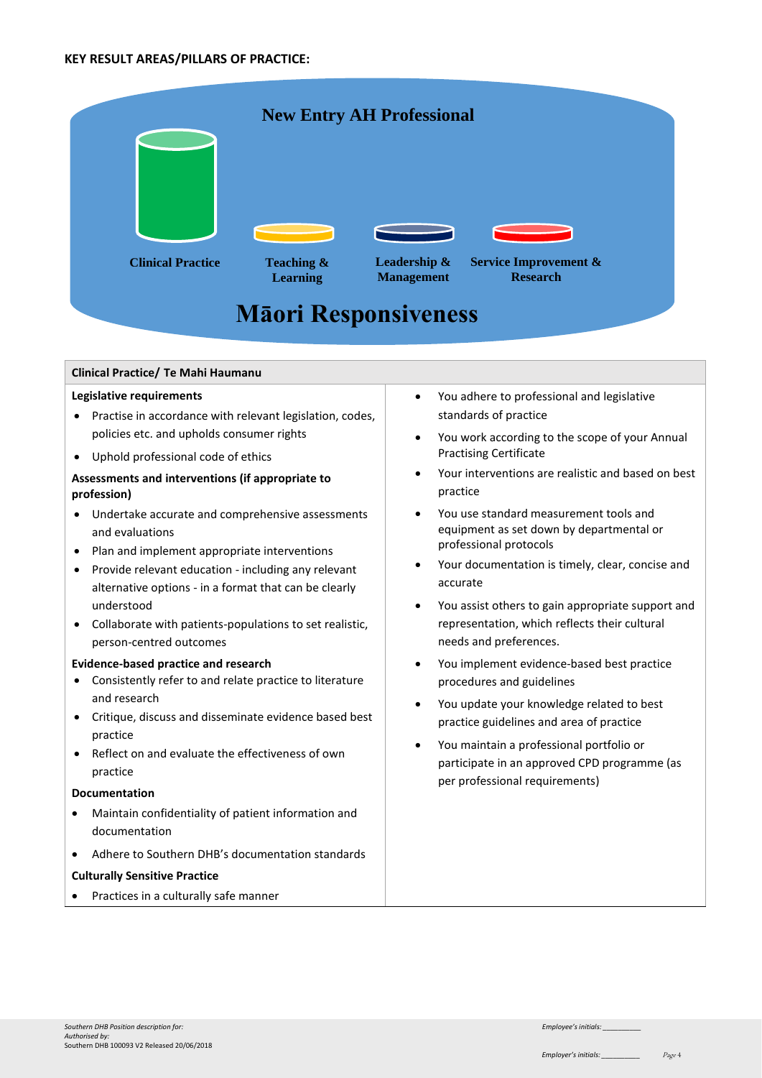#### **KEY RESULT AREAS/PILLARS OF PRACTICE:**

|                                    | <b>New Entry AH Professional</b>         |                                   |                                                     |  |
|------------------------------------|------------------------------------------|-----------------------------------|-----------------------------------------------------|--|
| <b>Clinical Practice</b>           | <b>Teaching &amp;</b><br><b>Learning</b> | Leadership &<br><b>Management</b> | <b>Service Improvement &amp;</b><br><b>Research</b> |  |
| <b>Māori Responsiveness</b>        |                                          |                                   |                                                     |  |
| Clinical Practice/ Te Mahi Haumanu |                                          |                                   |                                                     |  |
| Legislative requirements           |                                          | ٠                                 | You adhere to professional and legislative          |  |

- Practise in accordance with relevant legislation, codes, policies etc. and upholds consumer rights
- Uphold professional code of ethics

# **Assessments and interventions (if appropriate to profession)**

- Undertake accurate and comprehensive assessments and evaluations
- Plan and implement appropriate interventions
- Provide relevant education including any relevant alternative options - in a format that can be clearly understood
- Collaborate with patients-populations to set realistic, person-centred outcomes

#### **Evidence-based practice and research**

- Consistently refer to and relate practice to literature and research
- Critique, discuss and disseminate evidence based best practice
- Reflect on and evaluate the effectiveness of own practice

#### **Documentation**

- Maintain confidentiality of patient information and documentation
- Adhere to Southern DHB's documentation standards

#### **Culturally Sensitive Practice**

• Practices in a culturally safe manner

- You adhere to professional and legislative standards of practice
- You work according to the scope of your Annual Practising Certificate
- Your interventions are realistic and based on best practice
- You use standard measurement tools and equipment as set down by departmental or professional protocols
- Your documentation is timely, clear, concise and accurate
- You assist others to gain appropriate support and representation, which reflects their cultural needs and preferences.
- You implement evidence-based best practice procedures and guidelines
- You update your knowledge related to best practice guidelines and area of practice
- You maintain a professional portfolio or participate in an approved CPD programme (as per professional requirements)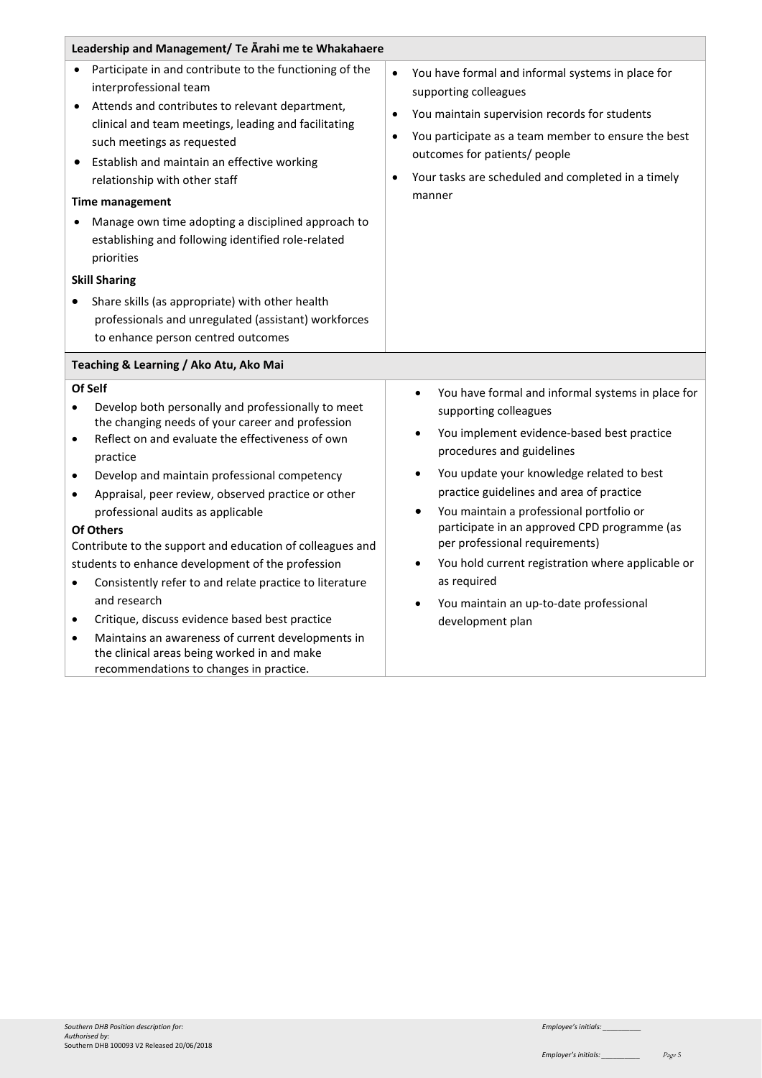| Leadership and Management/ Te Arahi me te Whakahaere                                                                                                                                                                                                                                                                                                                                                                                                                                                                                                                                                                                                                                                                                                                                                                    |                                                                                                                                                                                                                                                                                                                                                                                                                                                                                                                                                        |  |  |
|-------------------------------------------------------------------------------------------------------------------------------------------------------------------------------------------------------------------------------------------------------------------------------------------------------------------------------------------------------------------------------------------------------------------------------------------------------------------------------------------------------------------------------------------------------------------------------------------------------------------------------------------------------------------------------------------------------------------------------------------------------------------------------------------------------------------------|--------------------------------------------------------------------------------------------------------------------------------------------------------------------------------------------------------------------------------------------------------------------------------------------------------------------------------------------------------------------------------------------------------------------------------------------------------------------------------------------------------------------------------------------------------|--|--|
| Participate in and contribute to the functioning of the<br>interprofessional team<br>Attends and contributes to relevant department,<br>clinical and team meetings, leading and facilitating<br>such meetings as requested<br>Establish and maintain an effective working<br>$\bullet$<br>relationship with other staff<br><b>Time management</b><br>Manage own time adopting a disciplined approach to<br>establishing and following identified role-related<br>priorities<br><b>Skill Sharing</b><br>Share skills (as appropriate) with other health                                                                                                                                                                                                                                                                  | You have formal and informal systems in place for<br>$\bullet$<br>supporting colleagues<br>You maintain supervision records for students<br>$\bullet$<br>You participate as a team member to ensure the best<br>$\bullet$<br>outcomes for patients/ people<br>Your tasks are scheduled and completed in a timely<br>manner                                                                                                                                                                                                                             |  |  |
| professionals and unregulated (assistant) workforces                                                                                                                                                                                                                                                                                                                                                                                                                                                                                                                                                                                                                                                                                                                                                                    |                                                                                                                                                                                                                                                                                                                                                                                                                                                                                                                                                        |  |  |
| to enhance person centred outcomes                                                                                                                                                                                                                                                                                                                                                                                                                                                                                                                                                                                                                                                                                                                                                                                      |                                                                                                                                                                                                                                                                                                                                                                                                                                                                                                                                                        |  |  |
|                                                                                                                                                                                                                                                                                                                                                                                                                                                                                                                                                                                                                                                                                                                                                                                                                         |                                                                                                                                                                                                                                                                                                                                                                                                                                                                                                                                                        |  |  |
| Teaching & Learning / Ako Atu, Ako Mai<br>Of Self                                                                                                                                                                                                                                                                                                                                                                                                                                                                                                                                                                                                                                                                                                                                                                       |                                                                                                                                                                                                                                                                                                                                                                                                                                                                                                                                                        |  |  |
| Develop both personally and professionally to meet<br>$\bullet$<br>the changing needs of your career and profession<br>Reflect on and evaluate the effectiveness of own<br>$\bullet$<br>practice<br>Develop and maintain professional competency<br>$\bullet$<br>Appraisal, peer review, observed practice or other<br>$\bullet$<br>professional audits as applicable<br>Of Others<br>Contribute to the support and education of colleagues and<br>students to enhance development of the profession<br>Consistently refer to and relate practice to literature<br>$\bullet$<br>and research<br>Critique, discuss evidence based best practice<br>$\bullet$<br>Maintains an awareness of current developments in<br>$\bullet$<br>the clinical areas being worked in and make<br>recommendations to changes in practice. | You have formal and informal systems in place for<br>$\bullet$<br>supporting colleagues<br>You implement evidence-based best practice<br>$\bullet$<br>procedures and guidelines<br>You update your knowledge related to best<br>$\bullet$<br>practice guidelines and area of practice<br>You maintain a professional portfolio or<br>participate in an approved CPD programme (as<br>per professional requirements)<br>You hold current registration where applicable or<br>as required<br>You maintain an up-to-date professional<br>development plan |  |  |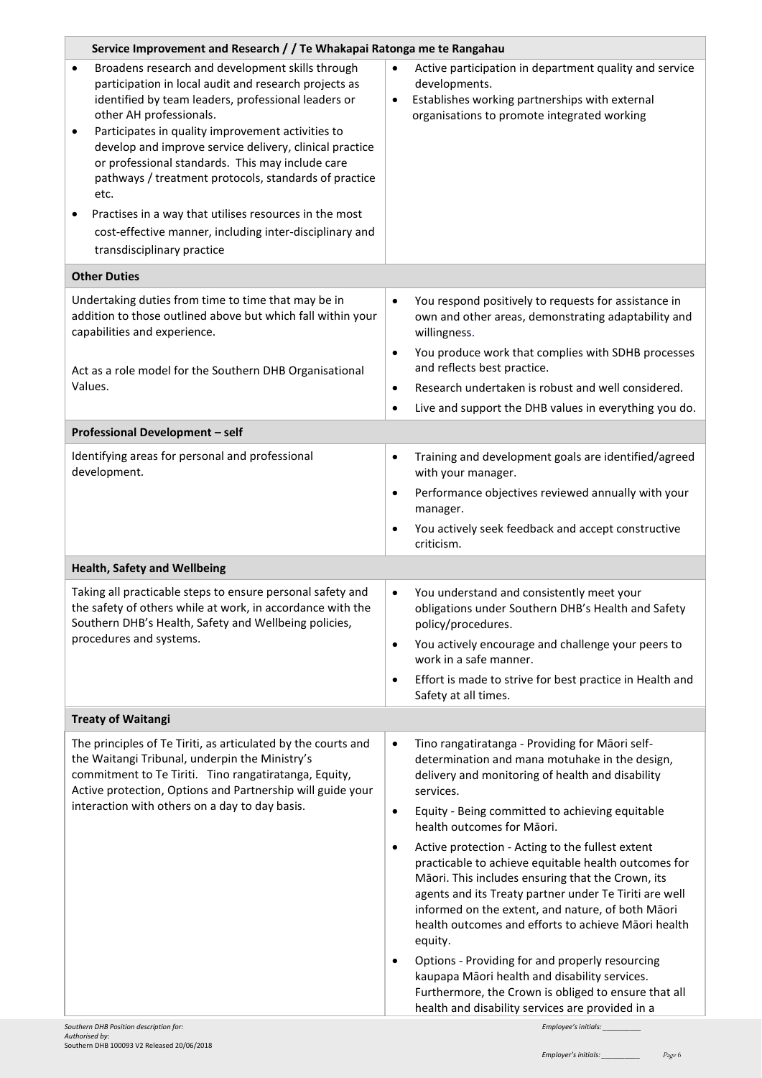| Service Improvement and Research / / Te Whakapai Ratonga me te Rangahau                                                                                                                                                                                                                                                                                                                                                                                                                                                                                                                                            |                                                                                                                                                                                                                                                                                                                                                                                                                                                                                                                         |  |  |
|--------------------------------------------------------------------------------------------------------------------------------------------------------------------------------------------------------------------------------------------------------------------------------------------------------------------------------------------------------------------------------------------------------------------------------------------------------------------------------------------------------------------------------------------------------------------------------------------------------------------|-------------------------------------------------------------------------------------------------------------------------------------------------------------------------------------------------------------------------------------------------------------------------------------------------------------------------------------------------------------------------------------------------------------------------------------------------------------------------------------------------------------------------|--|--|
| Broadens research and development skills through<br>$\bullet$<br>participation in local audit and research projects as<br>identified by team leaders, professional leaders or<br>other AH professionals.<br>Participates in quality improvement activities to<br>٠<br>develop and improve service delivery, clinical practice<br>or professional standards. This may include care<br>pathways / treatment protocols, standards of practice<br>etc.<br>Practises in a way that utilises resources in the most<br>$\bullet$<br>cost-effective manner, including inter-disciplinary and<br>transdisciplinary practice | Active participation in department quality and service<br>$\bullet$<br>developments.<br>Establishes working partnerships with external<br>$\bullet$<br>organisations to promote integrated working                                                                                                                                                                                                                                                                                                                      |  |  |
| <b>Other Duties</b>                                                                                                                                                                                                                                                                                                                                                                                                                                                                                                                                                                                                |                                                                                                                                                                                                                                                                                                                                                                                                                                                                                                                         |  |  |
| Undertaking duties from time to time that may be in<br>addition to those outlined above but which fall within your<br>capabilities and experience.<br>Act as a role model for the Southern DHB Organisational<br>Values.                                                                                                                                                                                                                                                                                                                                                                                           | You respond positively to requests for assistance in<br>$\bullet$<br>own and other areas, demonstrating adaptability and<br>willingness.<br>You produce work that complies with SDHB processes<br>$\bullet$<br>and reflects best practice.<br>Research undertaken is robust and well considered.<br>$\bullet$<br>Live and support the DHB values in everything you do.<br>$\bullet$                                                                                                                                     |  |  |
| Professional Development - self                                                                                                                                                                                                                                                                                                                                                                                                                                                                                                                                                                                    |                                                                                                                                                                                                                                                                                                                                                                                                                                                                                                                         |  |  |
| Identifying areas for personal and professional<br>development.                                                                                                                                                                                                                                                                                                                                                                                                                                                                                                                                                    | Training and development goals are identified/agreed<br>$\bullet$<br>with your manager.<br>Performance objectives reviewed annually with your<br>$\bullet$<br>manager.<br>You actively seek feedback and accept constructive<br>$\bullet$<br>criticism.                                                                                                                                                                                                                                                                 |  |  |
| <b>Health, Safety and Wellbeing</b>                                                                                                                                                                                                                                                                                                                                                                                                                                                                                                                                                                                |                                                                                                                                                                                                                                                                                                                                                                                                                                                                                                                         |  |  |
| Taking all practicable steps to ensure personal safety and<br>the safety of others while at work, in accordance with the<br>Southern DHB's Health, Safety and Wellbeing policies,<br>procedures and systems.                                                                                                                                                                                                                                                                                                                                                                                                       | You understand and consistently meet your<br>$\bullet$<br>obligations under Southern DHB's Health and Safety<br>policy/procedures.<br>You actively encourage and challenge your peers to<br>$\bullet$<br>work in a safe manner.                                                                                                                                                                                                                                                                                         |  |  |
|                                                                                                                                                                                                                                                                                                                                                                                                                                                                                                                                                                                                                    | Effort is made to strive for best practice in Health and<br>$\bullet$<br>Safety at all times.                                                                                                                                                                                                                                                                                                                                                                                                                           |  |  |
| <b>Treaty of Waitangi</b>                                                                                                                                                                                                                                                                                                                                                                                                                                                                                                                                                                                          |                                                                                                                                                                                                                                                                                                                                                                                                                                                                                                                         |  |  |
| The principles of Te Tiriti, as articulated by the courts and<br>the Waitangi Tribunal, underpin the Ministry's<br>commitment to Te Tiriti. Tino rangatiratanga, Equity,<br>Active protection, Options and Partnership will guide your<br>interaction with others on a day to day basis.                                                                                                                                                                                                                                                                                                                           | Tino rangatiratanga - Providing for Māori self-<br>$\bullet$<br>determination and mana motuhake in the design,<br>delivery and monitoring of health and disability<br>services.<br>Equity - Being committed to achieving equitable<br>$\bullet$<br>health outcomes for Māori.<br>Active protection - Acting to the fullest extent<br>$\bullet$                                                                                                                                                                          |  |  |
|                                                                                                                                                                                                                                                                                                                                                                                                                                                                                                                                                                                                                    | practicable to achieve equitable health outcomes for<br>Māori. This includes ensuring that the Crown, its<br>agents and its Treaty partner under Te Tiriti are well<br>informed on the extent, and nature, of both Māori<br>health outcomes and efforts to achieve Māori health<br>equity.<br>Options - Providing for and properly resourcing<br>$\bullet$<br>kaupapa Māori health and disability services.<br>Furthermore, the Crown is obliged to ensure that all<br>health and disability services are provided in a |  |  |